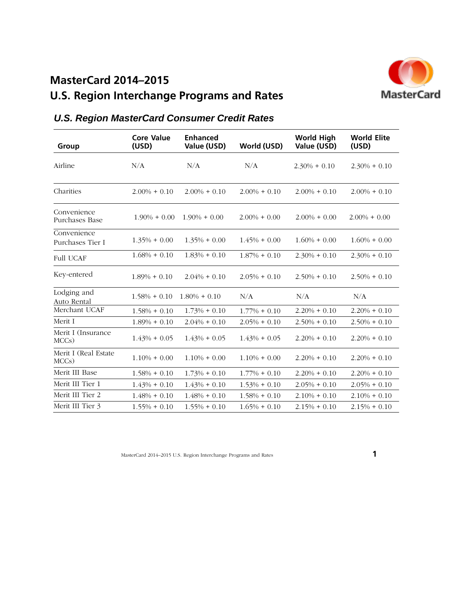# **MasterCard 2014–2015**

# **U.S. Region Interchange Programs and Rates**



| Group                           | <b>Core Value</b><br>(USD) | <b>Enhanced</b><br>Value (USD) | World (USD)     | <b>World High</b><br>Value (USD) | <b>World Elite</b><br>(USD) |
|---------------------------------|----------------------------|--------------------------------|-----------------|----------------------------------|-----------------------------|
| Airline                         | N/A                        | N/A                            | N/A             | $2.30\% + 0.10$                  | $2.30\% + 0.10$             |
| Charities                       | $2.00\% + 0.10$            | $2.00\% + 0.10$                | $2.00\% + 0.10$ | $2.00\% + 0.10$                  | $2.00\% + 0.10$             |
| Convenience<br>Purchases Base   | $1.90\% + 0.00$            | $1.90\% + 0.00$                | $2.00\% + 0.00$ | $2.00\% + 0.00$                  | $2.00\% + 0.00$             |
| Convenience<br>Purchases Tier I | $1.35\% + 0.00$            | $1.35\% + 0.00$                | $1.45\% + 0.00$ | $1.60\% + 0.00$                  | $1.60\% + 0.00$             |
| <b>Full UCAF</b>                | $1.68\% + 0.10$            | $1.83\% + 0.10$                | $1.87\% + 0.10$ | $2.30\% + 0.10$                  | $2.30\% + 0.10$             |
| Key-entered                     | $1.89\% + 0.10$            | $2.04\% + 0.10$                | $2.05\% + 0.10$ | $2.50\% + 0.10$                  | $2.50\% + 0.10$             |
| Lodging and<br>Auto Rental      | $1.58\% + 0.10$            | $1.80\% + 0.10$                | N/A             | N/A                              | N/A                         |
| Merchant UCAF                   | $1.58\% + 0.10$            | $1.73\% + 0.10$                | $1.77\% + 0.10$ | $2.20\% + 0.10$                  | $2.20\% + 0.10$             |
| Merit I                         | $1.89\% + 0.10$            | $2.04\% + 0.10$                | $2.05\% + 0.10$ | $2.50\% + 0.10$                  | $2.50\% + 0.10$             |
| Merit I (Insurance<br>MCCs)     | $1.43\% + 0.05$            | $1.43\% + 0.05$                | $1.43\% + 0.05$ | $2.20\% + 0.10$                  | $2.20\% + 0.10$             |
| Merit I (Real Estate<br>MCCs)   | $1.10\% + 0.00$            | $1.10\% + 0.00$                | $1.10\% + 0.00$ | $2.20\% + 0.10$                  | $2.20\% + 0.10$             |
| Merit III Base                  | $1.58\% + 0.10$            | $1.73\% + 0.10$                | $1.77\% + 0.10$ | $2.20\% + 0.10$                  | $2.20\% + 0.10$             |
| Merit III Tier 1                | $1.43\% + 0.10$            | $1.43\% + 0.10$                | $1.53\% + 0.10$ | $2.05\% + 0.10$                  | $2.05\% + 0.10$             |
| Merit III Tier 2                | $1.48\% + 0.10$            | $1.48\% + 0.10$                | $1.58\% + 0.10$ | $2.10\% + 0.10$                  | $2.10\% + 0.10$             |
| Merit III Tier 3                | $1.55\% + 0.10$            | $1.55\% + 0.10$                | $1.65\% + 0.10$ | $2.15\% + 0.10$                  | $2.15\% + 0.10$             |

## *U.S. Region MasterCard Consumer Credit Rates*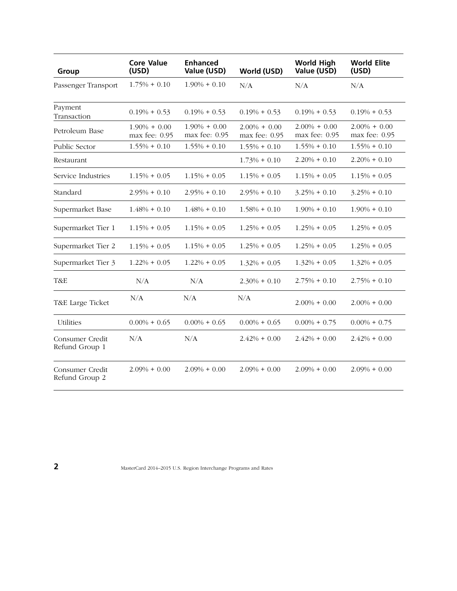| Group                             | <b>Core Value</b><br>(USD)           | <b>Enhanced</b><br>Value (USD)   | World (USD)                      | <b>World High</b><br>Value (USD)     | <b>World Elite</b><br>(USD)      |
|-----------------------------------|--------------------------------------|----------------------------------|----------------------------------|--------------------------------------|----------------------------------|
| Passenger Transport               | $1.75\% + 0.10$                      | $1.90\% + 0.10$                  | N/A                              | N/A                                  | N/A                              |
| Payment<br>Transaction            | $0.19\% + 0.53$                      | $0.19\% + 0.53$                  | $0.19\% + 0.53$                  | $0.19\% + 0.53$                      | $0.19\% + 0.53$                  |
| Petroleum Base                    | $1.90\% + 0.00$<br>$max$ fee: $0.95$ | $1.90\% + 0.00$<br>max fee: 0.95 | $2.00\% + 0.00$<br>max fee: 0.95 | $2.00\% + 0.00$<br>$max$ fee: $0.95$ | $2.00\% + 0.00$<br>max fee: 0.95 |
| Public Sector                     | $1.55\% + 0.10$                      | $1.55\% + 0.10$                  | $1.55\% + 0.10$                  | $1.55\% + 0.10$                      | $1.55\% + 0.10$                  |
| Restaurant                        |                                      |                                  | $1.73\% + 0.10$                  | $2.20\% + 0.10$                      | $2.20\% + 0.10$                  |
| Service Industries                | $1.15\% + 0.05$                      | $1.15\% + 0.05$                  | $1.15\% + 0.05$                  | $1.15\% + 0.05$                      | $1.15\% + 0.05$                  |
| Standard                          | $2.95\% + 0.10$                      | $2.95\% + 0.10$                  | $2.95\% + 0.10$                  | $3.25\% + 0.10$                      | $3.25\% + 0.10$                  |
| Supermarket Base                  | $1.48\% + 0.10$                      | $1.48\% + 0.10$                  | $1.58\% + 0.10$                  | $1.90\% + 0.10$                      | $1.90\% + 0.10$                  |
| Supermarket Tier 1                | $1.15\% + 0.05$                      | $1.15\% + 0.05$                  | $1.25\% + 0.05$                  | $1.25\% + 0.05$                      | $1.25\% + 0.05$                  |
| Supermarket Tier 2                | $1.15\% + 0.05$                      | $1.15\% + 0.05$                  | $1.25\% + 0.05$                  | $1.25\% + 0.05$                      | $1.25\% + 0.05$                  |
| Supermarket Tier 3                | $1.22\% + 0.05$                      | $1.22\% + 0.05$                  | $1.32\% + 0.05$                  | $1.32\% + 0.05$                      | $1.32\% + 0.05$                  |
| T&E                               | N/A                                  | N/A                              | $2.30\% + 0.10$                  | $2.75\% + 0.10$                      | $2.75\% + 0.10$                  |
| T&E Large Ticket                  | N/A                                  | N/A                              | N/A                              | $2.00\% + 0.00$                      | $2.00\% + 0.00$                  |
| <b>Utilities</b>                  | $0.00\% + 0.65$                      | $0.00\% + 0.65$                  | $0.00\% + 0.65$                  | $0.00\% + 0.75$                      | $0.00\% + 0.75$                  |
| Consumer Credit<br>Refund Group 1 | N/A                                  | N/A                              | $2.42\% + 0.00$                  | $2.42\% + 0.00$                      | $2.42\% + 0.00$                  |
| Consumer Credit<br>Refund Group 2 | $2.09\% + 0.00$                      | $2.09\% + 0.00$                  | $2.09\% + 0.00$                  | $2.09\% + 0.00$                      | $2.09\% + 0.00$                  |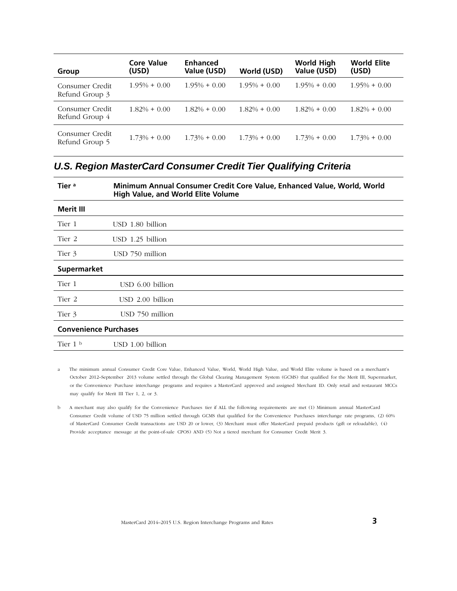| Group                             | Core Value<br>(USD) | <b>Enhanced</b><br>Value (USD) | World (USD)     | <b>World High</b><br>Value (USD) | <b>World Elite</b><br>(USD) |
|-----------------------------------|---------------------|--------------------------------|-----------------|----------------------------------|-----------------------------|
| Consumer Credit<br>Refund Group 3 | $1.95\% + 0.00$     | $1.95\% + 0.00$                | $1.95\% + 0.00$ | $1.95\% + 0.00$                  | $1.95\% + 0.00$             |
| Consumer Credit<br>Refund Group 4 | $1.82\% + 0.00$     | $1.82\% + 0.00$                | $1.82\% + 0.00$ | $1.82\% + 0.00$                  | $1.82\% + 0.00$             |
| Consumer Credit<br>Refund Group 5 | $1.73\% + 0.00$     | $1.73\% + 0.00$                | $1.73\% + 0.00$ | $1.73\% + 0.00$                  | $1.73\% + 0.00$             |

## *U.S. Region MasterCard Consumer Credit Tier Qualifying Criteria*

| Tier <sup>a</sup>            | Minimum Annual Consumer Credit Core Value, Enhanced Value, World, World<br><b>High Value, and World Elite Volume</b> |
|------------------------------|----------------------------------------------------------------------------------------------------------------------|
| Merit III                    |                                                                                                                      |
| Tier 1                       | USD 1.80 billion                                                                                                     |
| Tier 2                       | $USD$ 1.25 billion                                                                                                   |
| Tier 3                       | USD 750 million                                                                                                      |
| <b>Supermarket</b>           |                                                                                                                      |
| Tier 1                       | $USD$ 6.00 billion                                                                                                   |
| Tier 2                       | $USD$ $2.00$ billion                                                                                                 |
| Tier 3                       | USD 750 million                                                                                                      |
| <b>Convenience Purchases</b> |                                                                                                                      |
| Tier $1b$                    | USD 1.00 billion                                                                                                     |

a The minimum annual Consumer Credit Core Value, Enhanced Value, World, World High Value, and World Elite volume is based on a merchant's October 2012–September 2013 volume settled through the Global Clearing Management System (GCMS) that qualified for the Merit III, Supermarket, or the Convenience Purchase interchange programs and requires a MasterCard approved and assigned Merchant ID. Only retail and restaurant MCCs may qualify for Merit III Tier 1, 2, or 3.

b A merchant may also qualify for the Convenience Purchases tier if ALL the following requirements are met (1) Minimum annual MasterCard Consumer Credit volume of USD 75 million settled through GCMS that qualified for the Convenience Purchases interchange rate programs, (2) 60% of MasterCard Consumer Credit transactions are USD 20 or lower, (3) Merchant must offer MasterCard prepaid products (gift or reloadable), (4) Provide acceptance message at the point-of-sale CPOS) AND (5) Not a tiered merchant for Consumer Credit Merit 3.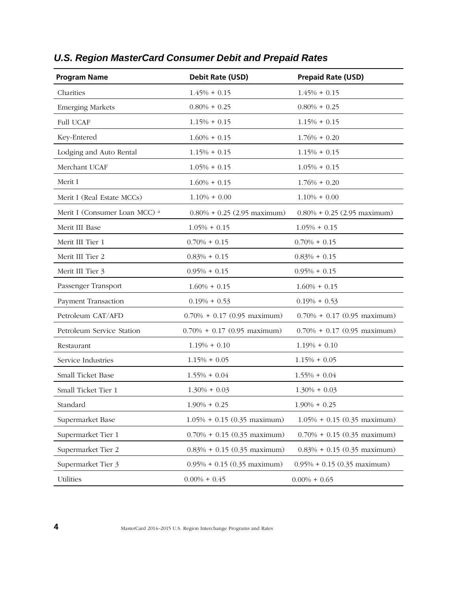| <b>Program Name</b>                      | Debit Rate (USD)               | <b>Prepaid Rate (USD)</b>      |
|------------------------------------------|--------------------------------|--------------------------------|
| Charities                                | $1.45\% + 0.15$                | $1.45\% + 0.15$                |
| <b>Emerging Markets</b>                  | $0.80\% + 0.25$                | $0.80\% + 0.25$                |
| <b>Full UCAF</b>                         | $1.15% + 0.15$                 | $1.15% + 0.15$                 |
| Key-Entered                              | $1.60\% + 0.15$                | $1.76\% + 0.20$                |
| Lodging and Auto Rental                  | $1.15% + 0.15$                 | $1.15\% + 0.15$                |
| Merchant UCAF                            | $1.05\% + 0.15$                | $1.05\% + 0.15$                |
| Merit I                                  | $1.60\% + 0.15$                | $1.76\% + 0.20$                |
| Merit I (Real Estate MCCs)               | $1.10\% + 0.00$                | $1.10\% + 0.00$                |
| Merit I (Consumer Loan MCC) <sup>a</sup> | $0.80\% + 0.25$ (2.95 maximum) | $0.80\% + 0.25$ (2.95 maximum) |
| Merit III Base                           | $1.05\% + 0.15$                | $1.05\% + 0.15$                |
| Merit III Tier 1                         | $0.70\% + 0.15$                | $0.70\% + 0.15$                |
| Merit III Tier 2                         | $0.83\% + 0.15$                | $0.83\% + 0.15$                |
| Merit III Tier 3                         | $0.95\% + 0.15$                | $0.95\% + 0.15$                |
| Passenger Transport                      | $1.60\% + 0.15$                | $1.60\% + 0.15$                |
| Payment Transaction                      | $0.19\% + 0.53$                | $0.19\% + 0.53$                |
| Petroleum CAT/AFD                        | $0.70\% + 0.17$ (0.95 maximum) | $0.70\% + 0.17$ (0.95 maximum) |
| Petroleum Service Station                | $0.70\% + 0.17$ (0.95 maximum) | $0.70\% + 0.17$ (0.95 maximum) |
| Restaurant                               | $1.19\% + 0.10$                | $1.19\% + 0.10$                |
| Service Industries                       | $1.15\% + 0.05$                | $1.15% + 0.05$                 |
| Small Ticket Base                        | $1.55\% + 0.04$                | $1.55\% + 0.04$                |
| Small Ticket Tier 1                      | $1.30\% + 0.03$                | $1.30\% + 0.03$                |
| Standard                                 | $1.90\% + 0.25$                | $1.90\% + 0.25$                |
| Supermarket Base                         | $1.05\% + 0.15$ (0.35 maximum) | $1.05\% + 0.15$ (0.35 maximum) |
| Supermarket Tier 1                       | $0.70\% + 0.15$ (0.35 maximum) | $0.70\% + 0.15$ (0.35 maximum) |
| Supermarket Tier 2                       | $0.83\% + 0.15$ (0.35 maximum) | $0.83\% + 0.15$ (0.35 maximum) |
| Supermarket Tier 3                       | $0.95\% + 0.15$ (0.35 maximum) | $0.95\% + 0.15$ (0.35 maximum) |
| Utilities                                | $0.00\% + 0.45$                | $0.00\% + 0.65$                |

# *U.S. Region MasterCard Consumer Debit and Prepaid Rates*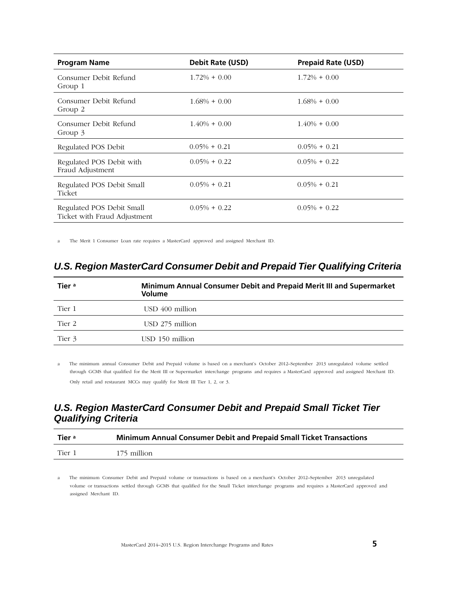| <b>Program Name</b>                                       | <b>Debit Rate (USD)</b> | <b>Prepaid Rate (USD)</b> |
|-----------------------------------------------------------|-------------------------|---------------------------|
| Consumer Debit Refund<br>Group 1                          | $1.72\% + 0.00$         | $1.72\% + 0.00$           |
| Consumer Debit Refund<br>Group 2                          | $1.68\% + 0.00$         | $1.68\% + 0.00$           |
| Consumer Debit Refund<br>Group 3                          | $1.40\% + 0.00$         | $1.40\% + 0.00$           |
| Regulated POS Debit                                       | $0.05\% + 0.21$         | $0.05\% + 0.21$           |
| Regulated POS Debit with<br>Fraud Adjustment              | $0.05\% + 0.22$         | $0.05\% + 0.22$           |
| Regulated POS Debit Small<br>Ticket                       | $0.05\% + 0.21$         | $0.05\% + 0.21$           |
| Regulated POS Debit Small<br>Ticket with Fraud Adjustment | $0.05\% + 0.22$         | $0.05\% + 0.22$           |

a The Merit 1 Consumer Loan rate requires a MasterCard approved and assigned Merchant ID.

#### *U.S. Region MasterCard Consumer Debit and Prepaid Tier Qualifying Criteria*

| Tier <sup>a</sup> | Minimum Annual Consumer Debit and Prepaid Merit III and Supermarket<br>Volume |
|-------------------|-------------------------------------------------------------------------------|
| Tier 1            | USD 400 million                                                               |
| Tier 2            | USD 275 million                                                               |
| Tier 3            | USD 150 million                                                               |

a The minimum annual Consumer Debit and Prepaid volume is based on a merchant's October 2012–September 2013 unregulated volume settled through GCMS that qualified for the Merit III or Supermarket interchange programs and requires a MasterCard approved and assigned Merchant ID. Only retail and restaurant MCCs may qualify for Merit III Tier 1, 2, or 3.

### *U.S. Region MasterCard Consumer Debit and Prepaid Small Ticket Tier Qualifying Criteria*

| Tier <sup>a</sup> | Minimum Annual Consumer Debit and Prepaid Small Ticket Transactions |
|-------------------|---------------------------------------------------------------------|
| Tier 1            | 175 million                                                         |

a The minimum Consumer Debit and Prepaid volume or transactions is based on a merchant's October 2012–September 2013 unregulated volume or transactions settled through GCMS that qualified for the Small Ticket interchange programs and requires a MasterCard approved and assigned Merchant ID.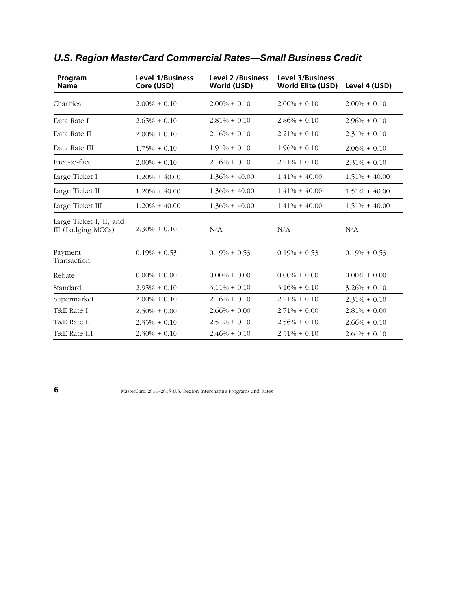| Program<br><b>Name</b>                        | <b>Level 1/Business</b><br>Core (USD) | <b>Level 2 /Business</b><br>World (USD) | <b>Level 3/Business</b><br><b>World Elite (USD)</b> | Level 4 (USD)    |
|-----------------------------------------------|---------------------------------------|-----------------------------------------|-----------------------------------------------------|------------------|
| Charities                                     | $2.00\% + 0.10$                       | $2.00\% + 0.10$                         | $2.00\% + 0.10$                                     | $2.00\% + 0.10$  |
| Data Rate I                                   | $2.65\% + 0.10$                       | $2.81\% + 0.10$                         | $2.86\% + 0.10$                                     | $2.96\% + 0.10$  |
| Data Rate II                                  | $2.00\% + 0.10$                       | $2.16\% + 0.10$                         | $2.21\% + 0.10$                                     | $2.31\% + 0.10$  |
| Data Rate III                                 | $1.75\% + 0.10$                       | $1.91\% + 0.10$                         | $1.96\% + 0.10$                                     | $2.06\% + 0.10$  |
| Face-to-face                                  | $2.00\% + 0.10$                       | $2.16\% + 0.10$                         | $2.21\% + 0.10$                                     | $2.31\% + 0.10$  |
| Large Ticket I                                | $1.20\% + 40.00$                      | $1.36\% + 40.00$                        | $1.41\% + 40.00$                                    | $1.51\% + 40.00$ |
| Large Ticket II                               | $1.20\% + 40.00$                      | $1.36\% + 40.00$                        | $1.41\% + 40.00$                                    | $1.51\% + 40.00$ |
| Large Ticket III                              | $1.20\% + 40.00$                      | $1.36\% + 40.00$                        | $1.41\% + 40.00$                                    | $1.51\% + 40.00$ |
| Large Ticket I, II, and<br>III (Lodging MCCs) | $2.30\% + 0.10$                       | N/A                                     | N/A                                                 | N/A              |
| Payment<br>Transaction                        | $0.19\% + 0.53$                       | $0.19\% + 0.53$                         | $0.19\% + 0.53$                                     | $0.19\% + 0.53$  |
| Rebate                                        | $0.00\% + 0.00$                       | $0.00\% + 0.00$                         | $0.00\% + 0.00$                                     | $0.00\% + 0.00$  |
| Standard                                      | $2.95\% + 0.10$                       | $3.11\% + 0.10$                         | $3.16\% + 0.10$                                     | $3.26\% + 0.10$  |
| Supermarket                                   | $2.00\% + 0.10$                       | $2.16\% + 0.10$                         | $2.21\% + 0.10$                                     | $2.31\% + 0.10$  |
| T&E Rate I                                    | $2.50\% + 0.00$                       | $2.66\% + 0.00$                         | $2.71\% + 0.00$                                     | $2.81\% + 0.00$  |
| T&E Rate II                                   | $2.35\% + 0.10$                       | $2.51\% + 0.10$                         | $2.56\% + 0.10$                                     | $2.66\% + 0.10$  |
| T&E Rate III                                  | $2.30\% + 0.10$                       | $2.46\% + 0.10$                         | $2.51\% + 0.10$                                     | $2.61\% + 0.10$  |

# *U.S. Region MasterCard Commercial Rates—Small Business Credit*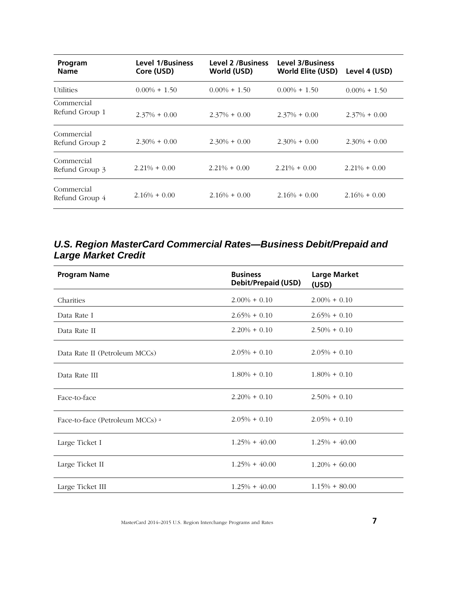| Program<br><b>Name</b>       | <b>Level 1/Business</b><br>Core (USD) | <b>Level 2 /Business</b><br>World (USD) | <b>Level 3/Business</b><br><b>World Elite (USD)</b> | Level 4 (USD)   |
|------------------------------|---------------------------------------|-----------------------------------------|-----------------------------------------------------|-----------------|
| <b>Utilities</b>             | $0.00\% + 1.50$                       | $0.00\% + 1.50$                         | $0.00\% + 1.50$                                     | $0.00\% + 1.50$ |
| Commercial<br>Refund Group 1 | $2.37\% + 0.00$                       | $2.37\% + 0.00$                         | $2.37\% + 0.00$                                     | $2.37\% + 0.00$ |
| Commercial<br>Refund Group 2 | $2.30\% + 0.00$                       | $2.30\% + 0.00$                         | $2.30\% + 0.00$                                     | $2.30\% + 0.00$ |
| Commercial<br>Refund Group 3 | $2.21\% + 0.00$                       | $2.21\% + 0.00$                         | $2.21\% + 0.00$                                     | $2.21\% + 0.00$ |
| Commercial<br>Refund Group 4 | $2.16\% + 0.00$                       | $2.16\% + 0.00$                         | $2.16\% + 0.00$                                     | $2.16\% + 0.00$ |

#### *U.S. Region MasterCard Commercial Rates—Business Debit/Prepaid and Large Market Credit*

| <b>Program Name</b>                        | <b>Business</b><br>Debit/Prepaid (USD) | <b>Large Market</b><br>(USD) |
|--------------------------------------------|----------------------------------------|------------------------------|
| Charities                                  | $2.00\% + 0.10$                        | $2.00\% + 0.10$              |
| Data Rate I                                | $2.65\% + 0.10$                        | $2.65\% + 0.10$              |
| Data Rate II                               | $2.20\% + 0.10$                        | $2.50\% + 0.10$              |
| Data Rate II (Petroleum MCCs)              | $2.05\% + 0.10$                        | $2.05\% + 0.10$              |
| Data Rate III                              | $1.80\% + 0.10$                        | $1.80\% + 0.10$              |
| Face-to-face                               | $2.20\% + 0.10$                        | $2.50\% + 0.10$              |
| Face-to-face (Petroleum MCCs) <sup>a</sup> | $2.05\% + 0.10$                        | $2.05\% + 0.10$              |
| Large Ticket I                             | $1.25\% + 40.00$                       | $1.25\% + 40.00$             |
| Large Ticket II                            | $1.25\% + 40.00$                       | $1.20\% + 60.00$             |
| Large Ticket III                           | $1.25\% + 40.00$                       | $1.15\% + 80.00$             |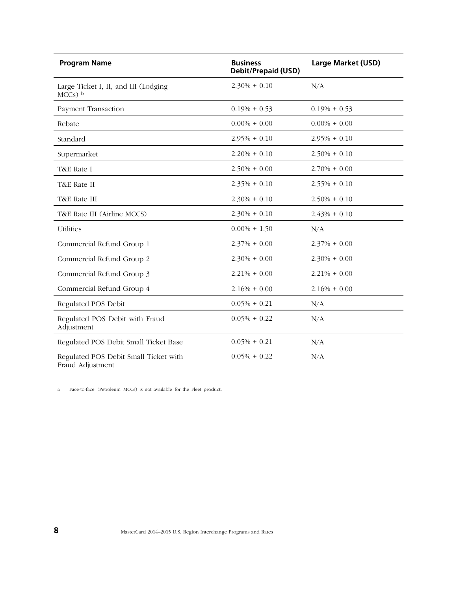| <b>Program Name</b>                                       | <b>Business</b><br><b>Debit/Prepaid (USD)</b> | <b>Large Market (USD)</b> |
|-----------------------------------------------------------|-----------------------------------------------|---------------------------|
| Large Ticket I, II, and III (Lodging<br>$MCCs$ ) b        | $2.30\% + 0.10$                               | N/A                       |
| Payment Transaction                                       | $0.19\% + 0.53$                               | $0.19\% + 0.53$           |
| Rebate                                                    | $0.00\% + 0.00$                               | $0.00\% + 0.00$           |
| Standard                                                  | $2.95\% + 0.10$                               | $2.95\% + 0.10$           |
| Supermarket                                               | $2,20\% + 0.10$                               | $2.50\% + 0.10$           |
| T&E Rate I                                                | $2.50\% + 0.00$                               | $2.70\% + 0.00$           |
| T&E Rate II                                               | $2.35\% + 0.10$                               | $2.55\% + 0.10$           |
| T&E Rate III                                              | $2.30\% + 0.10$                               | $2.50\% + 0.10$           |
| T&E Rate III (Airline MCCS)                               | $2.30\% + 0.10$                               | $2.43\% + 0.10$           |
| Utilities                                                 | $0.00\% + 1.50$                               | N/A                       |
| Commercial Refund Group 1                                 | $2.37\% + 0.00$                               | $2.37\% + 0.00$           |
| Commercial Refund Group 2                                 | $2.30\% + 0.00$                               | $2.30\% + 0.00$           |
| Commercial Refund Group 3                                 | $2.21\% + 0.00$                               | $2.21\% + 0.00$           |
| Commercial Refund Group 4                                 | $2.16\% + 0.00$                               | $2.16\% + 0.00$           |
| Regulated POS Debit                                       | $0.05\% + 0.21$                               | N/A                       |
| Regulated POS Debit with Fraud<br>Adjustment              | $0.05\% + 0.22$                               | N/A                       |
| Regulated POS Debit Small Ticket Base                     | $0.05\% + 0.21$                               | N/A                       |
| Regulated POS Debit Small Ticket with<br>Fraud Adjustment | $0.05\% + 0.22$                               | N/A                       |

a Face-to-face (Petroleum MCCs) is not available for the Fleet product.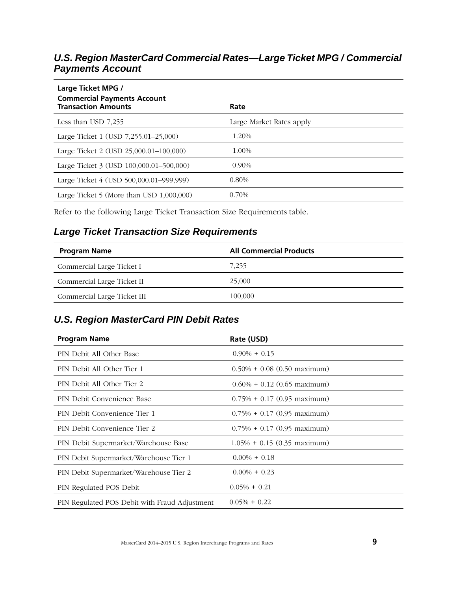### *U.S. Region MasterCard Commercial Rates—Large Ticket MPG / Commercial Payments Account*

| Large Ticket MPG /<br><b>Commercial Payments Account</b><br><b>Transaction Amounts</b> | Rate                     |
|----------------------------------------------------------------------------------------|--------------------------|
| Less than USD 7.255                                                                    | Large Market Rates apply |
| Large Ticket 1 (USD 7,255.01–25,000)                                                   | 1.20%                    |
| Large Ticket 2 (USD 25,000.01–100,000)                                                 | 1.00%                    |
| Large Ticket 3 (USD 100,000.01-500,000)                                                | $0.90\%$                 |
| Large Ticket 4 (USD 500,000.01–999,999)                                                | $0.80\%$                 |
| Large Ticket 5 (More than USD $1,000,000$ )                                            | 0.70%                    |

Refer to the following Large Ticket Transaction Size Requirements table.

### *Large Ticket Transaction Size Requirements*

| <b>Program Name</b>         | <b>All Commercial Products</b> |
|-----------------------------|--------------------------------|
| Commercial Large Ticket I   | 7.255                          |
| Commercial Large Ticket II  | 25,000                         |
| Commercial Large Ticket III | 100,000                        |

### *U.S. Region MasterCard PIN Debit Rates*

| <b>Program Name</b>                           | Rate (USD)                     |
|-----------------------------------------------|--------------------------------|
| PIN Debit All Other Base                      | $0.90\% + 0.15$                |
| PIN Debit All Other Tier 1                    | $0.50\% + 0.08$ (0.50 maximum) |
| PIN Debit All Other Tier 2                    | $0.60\% + 0.12$ (0.65 maximum) |
| PIN Debit Convenience Base                    | $0.75\% + 0.17$ (0.95 maximum) |
| PIN Debit Convenience Tier 1                  | $0.75\% + 0.17$ (0.95 maximum) |
| PIN Debit Convenience Tier 2                  | $0.75\% + 0.17$ (0.95 maximum) |
| PIN Debit Supermarket/Warehouse Base          | $1.05\% + 0.15$ (0.35 maximum) |
| PIN Debit Supermarket/Warehouse Tier 1        | $0.00\% + 0.18$                |
| PIN Debit Supermarket/Warehouse Tier 2        | $0.00\% + 0.23$                |
| PIN Regulated POS Debit                       | $0.05\% + 0.21$                |
| PIN Regulated POS Debit with Fraud Adjustment | $0.05\% + 0.22$                |